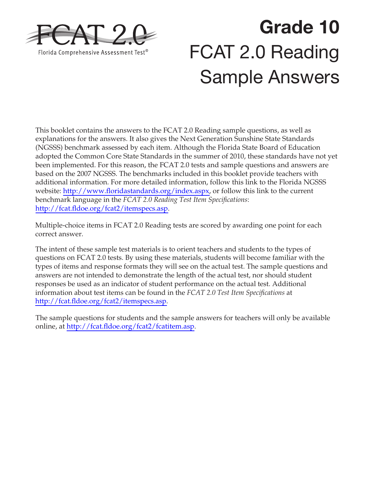

# **Grade 10**  FCAT 2.0 Reading Sample Answers

This booklet contains the answers to the FCAT 2.0 Reading sample questions, as well as explanations for the answers. It also gives the Next Generation Sunshine State Standards (NGSSS) benchmark assessed by each item. Although the Florida State Board of Education adopted the Common Core State Standards in the summer of 2010, these standards have not yet been implemented. For this reason, the FCAT 2.0 tests and sample questions and answers are based on the 2007 NGSSS. The benchmarks included in this booklet provide teachers with additional information. For more detailed information, follow this link to the Florida NGSSS website: [http://www.floridastandards.org/index.aspx,](http://www.floridastandards.org/index.aspx) or follow this link to the current benchmark language in the *FCAT 2.0 Reading Test Item Specifications*: [http://fcat.fldoe.org/fcat2/itemspecs.asp.](http://fcat.fldoe.org/fcat2/itemspecs.asp)

Multiple-choice items in FCAT 2.0 Reading tests are scored by awarding one point for each correct answer.

The intent of these sample test materials is to orient teachers and students to the types of questions on FCAT 2.0 tests. By using these materials, students will become familiar with the types of items and response formats they will see on the actual test. The sample questions and answers are not intended to demonstrate the length of the actual test, nor should student responses be used as an indicator of student performance on the actual test. Additional information about test items can be found in the *FCAT 2.0 Test Item Specifications* at [http://fcat.fldoe.org/fcat2/itemspecs.asp.](http://fcat.fldoe.org/fcat2/itemspecs.asp)

The sample questions for students and the sample answers for teachers will only be available online, at [http://fcat.fldoe.org/fcat2/fcatitem.asp.](http://fcat.fldoe.org/fcat2/fcatitem.asp)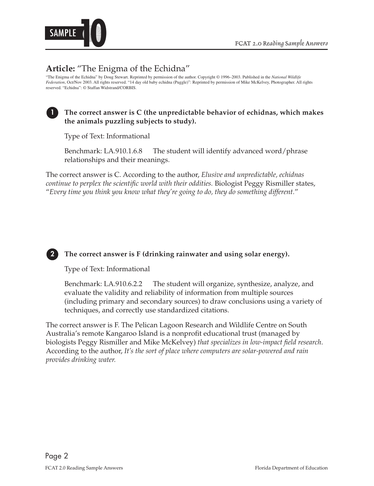

### **Article:** "The Enigma of the Echidna"

"The Enigma of the Echidna" by Doug Stewart. Reprinted by permission of the author. Copyright © 1996–2003. Published in the *National Wildlife Federation*, Oct/Nov 2003. All rights reserved. "14 day old baby echidna (Puggle)": Reprinted by permission of Mike McKelvey, Photographer. All rights reserved. "Echidna": © Staffan Widstrand/CORBIS.

#### **the animals puzzling subjects to study).**  The correct answer is C (the unpredictable behavior of echidnas, which makes

Type of Text: Informational

Benchmark: LA.910.1.6.8 The student will identify advanced word/phrase relationships and their meanings.

The correct answer is C. According to the author, *Elusive and unpredictable, echidnas continue to perplex the scientific world with their oddities.* Biologist Peggy Rismiller states, "*Every time you think you know what they're going to do, they do something different.*"

#### **2 The correct answer is F (drinking rainwater and using solar energy).**

Type of Text: Informational

Benchmark: LA.910.6.2.2 The student will organize, synthesize, analyze, and evaluate the validity and reliability of information from multiple sources (including primary and secondary sources) to draw conclusions using a variety of techniques, and correctly use standardized citations.

The correct answer is F. The Pelican Lagoon Research and Wildlife Centre on South Australia's remote Kangaroo Island is a nonprofit educational trust (managed by biologists Peggy Rismiller and Mike McKelvey) *that specializes in low-impact field research*. According to the author, *It's the sort of place where computers are solar-powered and rain provides drinking water.*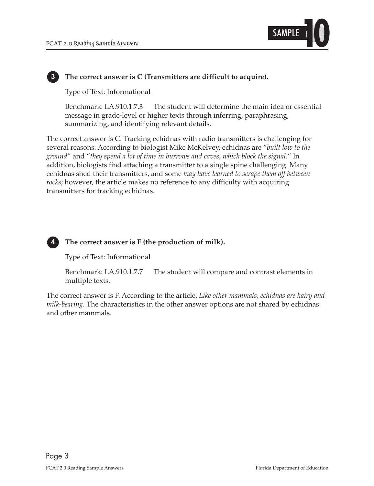

#### **3 The correct answer is C (Transmitters are difficult to acquire).**

Type of Text: Informational

Benchmark: LA.910.1.7.3 The student will determine the main idea or essential message in grade-level or higher texts through inferring, paraphrasing, summarizing, and identifying relevant details.

The correct answer is C. Tracking echidnas with radio transmitters is challenging for several reasons. According to biologist Mike McKelvey, echidnas are "*built low to the ground*" and "*they spend a lot of time in burrows and caves, which block the signal.*" In addition, biologists find attaching a transmitter to a single spine challenging. Many echidnas shed their transmitters, and some *may have learned to scrape them off between rocks*; however, the article makes no reference to any difficulty with acquiring transmitters for tracking echidnas.



#### **4 The correct answer is F (the production of milk).**

Type of Text: Informational

Benchmark: LA.910.1.7.7 The student will compare and contrast elements in multiple texts.

The correct answer is F. According to the article, *Like other mammals, echidnas are hairy and milk-bearing.* The characteristics in the other answer options are not shared by echidnas and other mammals.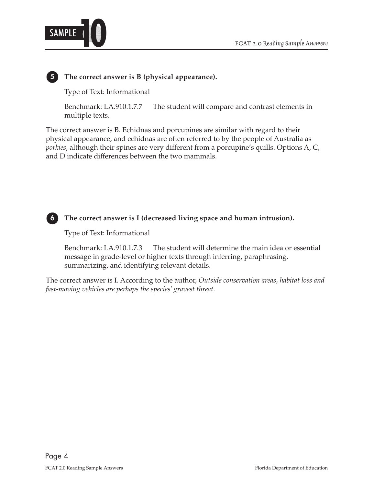



**5 The correct answer is B (physical appearance).** 

Type of Text: Informational

Benchmark: LA.910.1.7.7 The student will compare and contrast elements in multiple texts.

The correct answer is B. Echidnas and porcupines are similar with regard to their physical appearance, and echidnas are often referred to by the people of Australia as *porkies*, although their spines are very different from a porcupine's quills. Options A, C, and D indicate differences between the two mammals.



 **6 The correct answer is I (decreased living space and human intrusion).** 

Type of Text: Informational

Benchmark: LA.910.1.7.3 The student will determine the main idea or essential message in grade-level or higher texts through inferring, paraphrasing, summarizing, and identifying relevant details.

The correct answer is I. According to the author, *Outside conservation areas, habitat loss and fast-moving vehicles are perhaps the species' gravest threat.*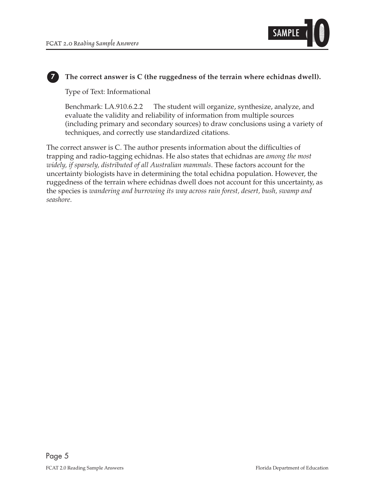

#### **7 The correct answer is C (the ruggedness of the terrain where echidnas dwell).**

Type of Text: Informational

Benchmark: LA.910.6.2.2 The student will organize, synthesize, analyze, and evaluate the validity and reliability of information from multiple sources (including primary and secondary sources) to draw conclusions using a variety of techniques, and correctly use standardized citations.

The correct answer is C. The author presents information about the difficulties of trapping and radio-tagging echidnas. He also states that echidnas are *among the most widely, if sparsely, distributed of all Australian mammals*. These factors account for the uncertainty biologists have in determining the total echidna population. However, the ruggedness of the terrain where echidnas dwell does not account for this uncertainty, as the species is *wandering and burrowing its way across rain forest, desert, bush, swamp and seashore*.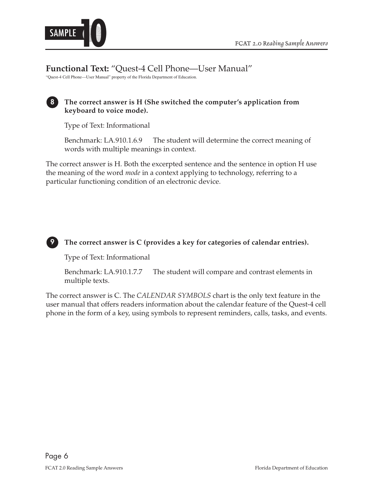

**Functional Text:** "Quest-4 Cell Phone—User Manual"

"Quest-4 Cell Phone—User Manual" property of the Florida Department of Education.

#### **keyboard to voice mode).**  8 The correct answer is H (She switched the computer's application from

Type of Text: Informational

Benchmark: LA.910.1.6.9 The student will determine the correct meaning of words with multiple meanings in context.

The correct answer is H. Both the excerpted sentence and the sentence in option H use the meaning of the word *mode* in a context applying to technology, referring to a particular functioning condition of an electronic device.



#### 9 The correct answer is C (provides a key for categories of calendar entries).

Type of Text: Informational

Benchmark: LA.910.1.7.7 The student will compare and contrast elements in multiple texts.

The correct answer is C. The *CALENDAR SYMBOLS* chart is the only text feature in the user manual that offers readers information about the calendar feature of the Quest-4 cell phone in the form of a key, using symbols to represent reminders, calls, tasks, and events.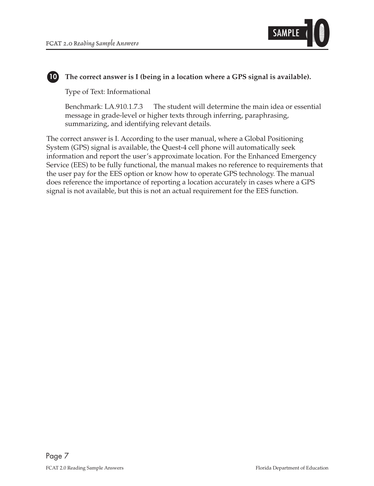

#### 10 The correct answer is I (being in a location where a GPS signal is available).

Type of Text: Informational

Benchmark: LA.910.1.7.3 The student will determine the main idea or essential message in grade-level or higher texts through inferring, paraphrasing, summarizing, and identifying relevant details.

The correct answer is I. According to the user manual, where a Global Positioning System (GPS) signal is available, the Quest-4 cell phone will automatically seek information and report the user's approximate location. For the Enhanced Emergency Service (EES) to be fully functional, the manual makes no reference to requirements that the user pay for the EES option or know how to operate GPS technology. The manual does reference the importance of reporting a location accurately in cases where a GPS signal is not available, but this is not an actual requirement for the EES function.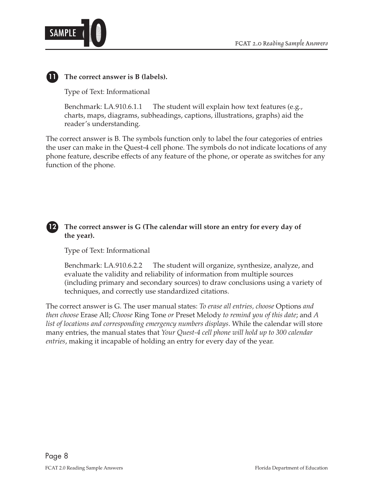

#### **11 The correct answer is B (labels).**

Type of Text: Informational

Benchmark: LA.910.6.1.1 The student will explain how text features  $(e.g.,$ charts, maps, diagrams, subheadings, captions, illustrations, graphs) aid the reader's understanding.

The correct answer is B. The symbols function only to label the four categories of entries the user can make in the Quest-4 cell phone. The symbols do not indicate locations of any phone feature, describe effects of any feature of the phone, or operate as switches for any function of the phone.

#### 12 The correct answer is G (The calendar will store an entry for every day of **the year).**

Type of Text: Informational

Benchmark: LA.910.6.2.2 The student will organize, synthesize, analyze, and evaluate the validity and reliability of information from multiple sources (including primary and secondary sources) to draw conclusions using a variety of techniques, and correctly use standardized citations.

The correct answer is G. The user manual states: *To erase all entries, choose* Options *and then choose* Erase All; *Choose* Ring Tone *or* Preset Melody *to remind you of this date*; and *A list of locations and corresponding emergency numbers displays*. While the calendar will store many entries, the manual states that *Your Quest-4 cell phone will hold up to 300 calendar entries*, making it incapable of holding an entry for every day of the year.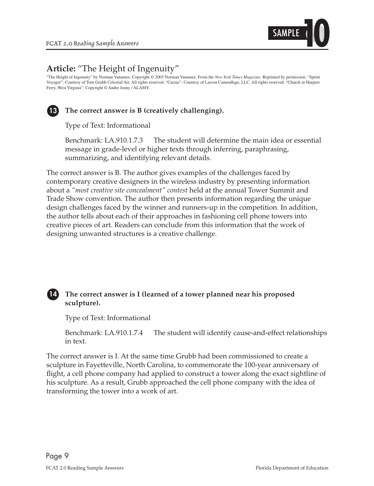

## **Article:** "The Height of Ingenuity"

"The Height of Ingenuity" by Norman Vanamee. Copyright © 2003 Norman Vanamee. From the *New York Times Magazine*. Reprinted by permission. "Sprint Voyager": Courtesy of Tom Grubb Celestial Art. All rights reserved. "Cactus": Courtesy of Larson Camouflage, LLC. All rights reserved. "Church in Harpers Ferry, West Virginia": Copyright © Andre Jenny / ALAMY.



#### **13 The correct answer is B (creatively challenging).**

Type of Text: Informational

Benchmark: LA.910.1.7.3 The student will determine the main idea or essential message in grade-level or higher texts through inferring, paraphrasing, summarizing, and identifying relevant details.

The correct answer is B. The author gives examples of the challenges faced by contemporary creative designers in the wireless industry by presenting information about a *"most creative site concealment" contest* held at the annual Tower Summit and Trade Show convention. The author then presents information regarding the unique design challenges faced by the winner and runners-up in the competition. In addition, the author tells about each of their approaches in fashioning cell phone towers into creative pieces of art. Readers can conclude from this information that the work of designing unwanted structures is a creative challenge.

#### 14 The correct answer is I (learned of a tower planned near his proposed **sculpture).**

Type of Text: Informational

Benchmark: LA.910.1.7.4 The student will identify cause-and-effect relationships in text.

The correct answer is I. At the same time Grubb had been commissioned to create a sculpture in Fayetteville, North Carolina, to commemorate the 100-year anniversary of flight, a cell phone company had applied to construct a tower along the exact sightline of his sculpture. As a result, Grubb approached the cell phone company with the idea of transforming the tower into a work of art.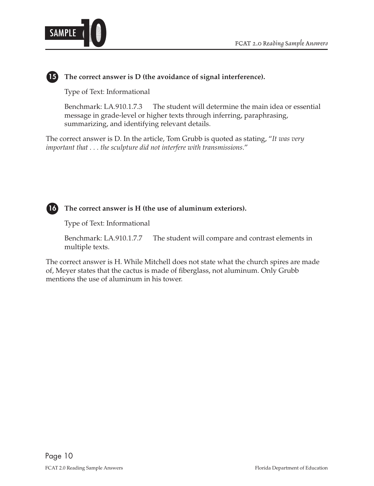

#### **15 The correct answer is D (the avoidance of signal interference).**

Type of Text: Informational

Benchmark: LA.910.1.7.3 The student will determine the main idea or essential message in grade-level or higher texts through inferring, paraphrasing, summarizing, and identifying relevant details.

The correct answer is D. In the article, Tom Grubb is quoted as stating, "*It was very important that . . . the sculpture did not interfere with transmissions*."



 **16 The correct answer is H (the use of aluminum exteriors).** 

Type of Text: Informational

Benchmark: LA.910.1.7.7 The student will compare and contrast elements in multiple texts.

The correct answer is H. While Mitchell does not state what the church spires are made of, Meyer states that the cactus is made of fiberglass, not aluminum. Only Grubb mentions the use of aluminum in his tower.